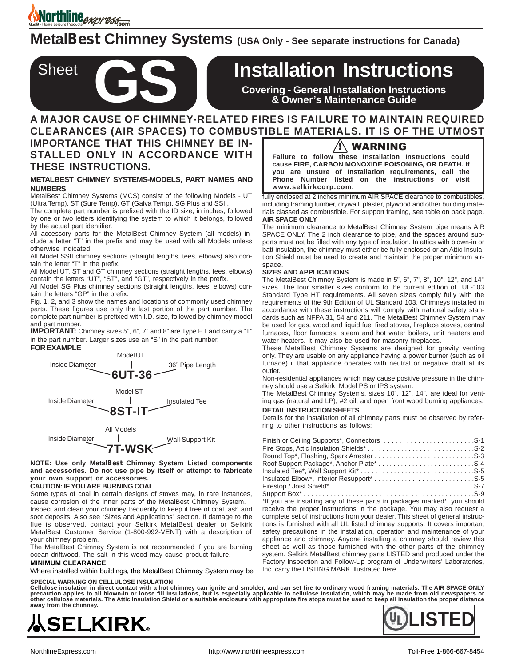Morthline expresses

**Sheet** 

**MetalBest Chimney Systems (USA Only - See separate instructions for Canada)**

# **Installation Instructions**

**Covering - General Installation Instructions & Owner's Maintenance Guide**

## **A MAJOR CAUSE OF CHIMNEY-RELATED FIRES IS FAILURE TO MAINTAIN REQUIRED CLEARANCES (AIR SPACES) TO COMBUSTIBLE MATERIALS. IT IS OF THE UTMOST**

**IMPORTANCE THAT THIS CHIMNEY BE IN-STALLED ONLY IN ACCORDANCE WITH THESE INSTRUCTIONS.**

### **METALBEST CHIMNEY SYSTEMS-MODELS, PART NAMES AND NUMBERS**

MetalBest Chimney Systems (MCS) consist of the following Models - UT (Ultra Temp), ST (Sure Temp), GT (Galva Temp), SG Plus and SSII.

The complete part number is prefixed with the ID size, in inches, followed by one or two letters identifying the system to which it belongs, followed by the actual part identifier.

All accessory parts for the MetalBest Chimney System (all models) include a letter "T" in the prefix and may be used with all Models unless otherwise indicated.

All Model SSII chimney sections (straight lengths, tees, elbows) also contain the letter "T" in the prefix.

All Model UT, ST and GT chimney sections (straight lengths, tees, elbows) contain the letters "UT", "ST", and "GT", respectively in the prefix.

All Model SG Plus chimney sections (straight lengths, tees, elbows) contain the letters "GP" in the prefix.

Fig. 1, 2, and 3 show the names and locations of commonly used chimney parts. These figures use only the last portion of the part number. The complete part number is prefixed with I.D. size, followed by chimney model and part number.

**IMPORTANT:** Chimney sizes 5", 6", 7" and 8" are Type HT and carry a "T" in the part number. Larger sizes use an "S" in the part number.



**NOTE: Use only MetalBest Chimney System Listed components and accessories. Do not use pipe by itself or attempt to fabricate your own support or accessories.**

### **CAUTION: IF YOU ARE BURNING COAL**

Some types of coal in certain designs of stoves may, in rare instances, cause corrosion of the inner parts of the MetalBest Chimney System.

Inspect and clean your chimney frequently to keep it free of coal, ash and soot deposits. Also see "Sizes and Applications" section. If damage to the flue is observed, contact your Selkirk MetalBest dealer or Selkirk MetalBest Customer Service (1-800-992-VENT) with a description of your chimney problem.

The MetalBest Chimney System is not recommended if you are burning ocean driftwood. The salt in this wood may cause product failure.

#### **MINIMUM CLEARANCE**

Where installed within buildings, the MetalBest Chimney System may be

#### **SPECIAL WARNING ON CELLULOSE INSULATION**

Cellulose insulation in direct contact with a hot chimney can ignite and smolder, and can set fire to ordinary wood framing materials. The AIR SPACE ONLY<br>precaution applies to all blown-in or loose fill insulations, but is **other cellulose materials. The Attic Insulation Shield or a suitable enclosure with appropriate fire stops must be used to keep all insulation the proper distance away from the chimney.**





## /!\ WARNING

**Failure to follow these Installation Instructions could cause FIRE, CARBON MONOXIDE POISONING, OR DEATH. If you are unsure of Installation requirements, call the Phone Number listed on the instructions or visit www.selkirkcorp.com.**

fully enclosed at 2 inches minimum AIR SPACE clearance to combustibles, including framing lumber, drywall, plaster, plywood and other building materials classed as combustible. For support framing, see table on back page. **AIR SPACE ONLY**

The minimum clearance to MetalBest Chimney System pipe means AIR SPACE ONLY. The 2 inch clearance to pipe, and the spaces around supports must not be filled with any type of insulation. In attics with blown-in or batt insulation, the chimney must either be fully enclosed or an Attic Insulation Shield must be used to create and maintain the proper minimum airspace.

#### **SIZES AND APPLICATIONS**

The MetalBest Chimney System is made in 5", 6", 7", 8", 10", 12", and 14" sizes. The four smaller sizes conform to the current edition of UL-103 Standard Type HT requirements. All seven sizes comply fully with the requirements of the 9th Edition of UL Standard 103. Chimneys installed in accordance with these instructions will comply with national safety standards such as NFPA 31, 54 and 211. The MetalBest Chimney System may be used for gas, wood and liquid fuel fired stoves, fireplace stoves, central furnaces, floor furnaces, steam and hot water boilers, unit heaters and water heaters. It may also be used for masonry fireplaces.

These MetalBest Chimney Systems are designed for gravity venting only. They are usable on any appliance having a power burner (such as oil furnace) if that appliance operates with neutral or negative draft at its outlet.

Non-residential appliances which may cause positive pressure in the chimney should use a Selkirk Model PS or IPS system.

The MetalBest Chimney Systems, sizes 10", 12", 14", are ideal for venting gas (natural and LP), #2 oil, and open front wood burning appliances.

## **DETAIL INSTRUCTION SHEETS**

Details for the installation of all chimney parts must be observed by referring to other instructions as follows:

\*If you are installing any of these parts in packages marked\*, you should receive the proper instructions in the package. You may also request a complete set of instructions from your dealer. This sheet of general instructions is furnished with all UL listed chimney supports. It covers important safety precautions in the installation, operation and maintenance of your appliance and chimney. Anyone installing a chimney should review this sheet as well as those furnished with the other parts of the chimney system. Selkirk MetalBest chimney parts LISTED and produced under the Factory Inspection and Follow-Up program of Underwriters' Laboratories, Inc. carry the LISTING MARK illustrated here.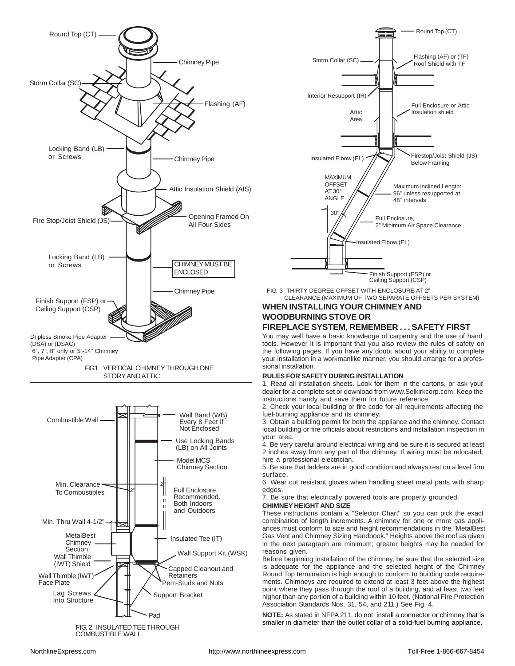





FIG. 3 THIRTY DEGREE OFFSET WITH ENCLOSURE AT 2" CLEARANCE (MAXIMUM OF TWO SEPARATE OFFSETS PER SYSTEM)

## **WHEN INSTALLING YOUR CHIMNEY AND WOODBURNING STOVE OR**

## **FIREPLACE SYSTEM, REMEMBER . . . SAFETY FIRST**

You may well have a basic knowledge of carpentry and the use of hand tools. However it is important that you also review the rules of safety on the following pages. If you have any doubt about your ability to complete your installation in a workmanlike manner, you should arrange for a professional installation.

## **RULES FOR SAFETY DURING INSTALLATION**

1. Read all installation sheets. Look for them in the cartons, or ask your dealer for a complete set or download from www.Selkirkcorp.com. Keep the instructions handy and save them for future reference.

2. Check your local building or fire code for all requirements affecting the fuel-burning appliance and its chimney.

3. Obtain a building permit for both the appliance and the chimney. Contact local building or fire officials about restrictions and installation inspection in your area.

4. Be very careful around electrical wiring and be sure it is secured at least 2 inches away from any part of the chimney. If wiring must be relocated, hire a professional electrician.

5. Be sure that ladders are in good condition and always rest on a level firm surface.

6. Wear cut resistant gloves when handling sheet metal parts with sharp edges.

7. Be sure that electrically powered tools are properly grounded.

## **CHIMNEY HEIGHT AND SIZE**

These instructions contain a ''Selector Chart" so you can pick the exact combination of length increments. A chimney for one or more gas appliances must conform to size and height recommendations in the "MetalBest Gas Vent and Chimney Sizing Handbook." Heights above the roof as given in the next paragraph are minimum; greater heights may be needed for reasons given.

Before beginning installation of the chimney, be sure that the selected size is adequate for the appliance and the selected height of the Chimney Round Top termination is high enough to conform to building code requirements. Chimneys are required to extend at least 3 feet above the highest point where they pass through the roof of a building, and at least two feet higher than any portion of a building within 10 feet. (National Fire Protection Association Standards Nos. 31, 54, and 211.) See Fig. 4.

**NOTE:** As stated in NFPA 211, do not install a connector or chimney that is smaller in diameter than the outlet collar of a solid-fuel burning appliance.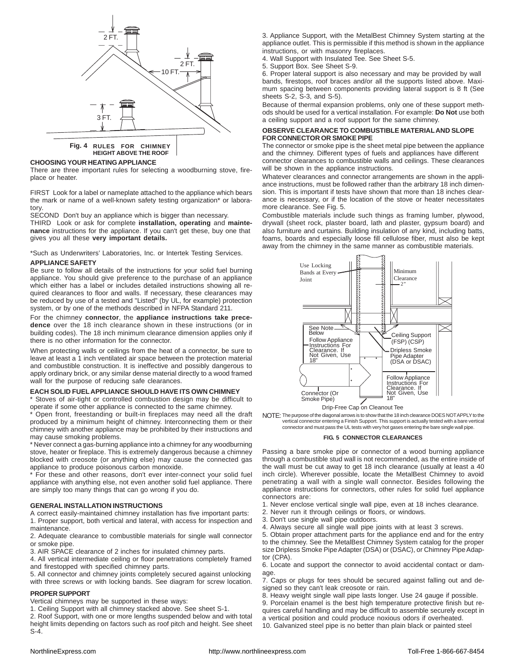

**Fig. 4 RULES FOR CHIMNEY HEIGHT ABOVE THE ROOF**

#### **CHOOSING YOUR HEATING APPLIANCE**

There are three important rules for selecting a woodburning stove, fireplace or heater.

FIRST Look for a label or nameplate attached to the appliance which bears the mark or name of a well-known safety testing organization\* or laboratory.

SECOND Don't buy an appliance which is bigger than necessary.

THIRD Look or ask for complete **installation, operating** and **maintenance** instructions for the appliance. If you can't get these, buy one that gives you all these **very important details.**

\*Such as Underwriters' Laboratories, Inc. or Intertek Testing Services.

#### **APPLIANCE SAFETY**

Be sure to follow all details of the instructions for your solid fuel burning appliance. You should give preference to the purchase of an appliance which either has a label or includes detailed instructions showing all required clearances to floor and walls. If necessary, these clearances may be reduced by use of a tested and "Listed" (by UL, for example) protection system, or by one of the methods described in NFPA Standard 211.

For the chimney **connector**, the **appliance instructions take precedence** over the 18 inch clearance shown in these instructions (or in building codes). The 18 inch minimum clearance dimension applies only if there is no other information for the connector.

When protecting walls or ceilings from the heat of a connector, be sure to leave at least a 1 inch ventilated air space between the protection material and combustible construction. It is ineffective and possibly dangerous to apply ordinary brick, or any similar dense material directly to a wood framed wall for the purpose of reducing safe clearances.

#### **EACH SOLID FUEL APPLIANCE SHOULD HAVE ITS OWN CHIMNEY**

\* Stoves of air-tight or controlled combustion design may be difficult to operate if some other appliance is connected to the same chimney.

\* Open front, freestanding or built-in fireplaces may need all the draft produced by a minimum height of chimney. Interconnecting them or their chimney with another appliance may be prohibited by their instructions and may cause smoking problems.

\* Never connect a gas-burning appliance into a chimney for any woodburning stove, heater or fireplace. This is extremely dangerous because a chimney blocked with creosote (or anything else) may cause the connected gas appliance to produce poisonous carbon monoxide.

\* For these and other reasons, don't ever inter-connect your solid fuel appliance with anything else, not even another solid fuel appliance. There are simply too many things that can go wrong if you do.

#### **GENERAL INSTALLATION INSTRUCTIONS**

A correct easily-maintained chimney installation has five important parts: 1. Proper support, both vertical and lateral, with access for inspection and maintenance.

2. Adequate clearance to combustible materials for single wall connector or smoke pipe.

3. AIR SPACE clearance of 2 inches for insulated chimney parts.

4. All vertical intermediate ceiling or floor penetrations completely framed and firestopped with specified chimney parts.

5. All connector and chimney joints completely secured against unlocking with three screws or with locking bands. See diagram for screw location.

#### **PROPER SUPPORT**

Vertical chimneys may be supported in these ways:

1. Ceiling Support with all chimney stacked above. See sheet S-1.

2. Roof Support, with one or more lengths suspended below and with total height limits depending on factors such as roof pitch and height. See sheet S-4.

3. Appliance Support, with the MetalBest Chimney System starting at the appliance outlet. This is permissible if this method is shown in the appliance instructions, or with masonry fireplaces.

4. Wall Support with Insulated Tee. See Sheet S-5.

5. Support Box. See Sheet S-9.

6. Proper lateral support is also necessary and may be provided by wall bands, firestops, roof braces and/or all the supports listed above. Maximum spacing between components providing lateral support is 8 ft (See sheets S-2, S-3, and S-5).

Because of thermal expansion problems, only one of these support methods should be used for a vertical installation. For example: **Do Not** use both a ceiling support and a roof support for the same chimney.

#### **OBSERVE CLEARANCE TO COMBUSTIBLE MATERIAL AND SLOPE FOR CONNECTOR OR SMOKE PIPE**

The connector or smoke pipe is the sheet metal pipe between the appliance and the chimney. Different types of fuels and appliances have different connector clearances to combustible walls and ceilings. These clearances will be shown in the appliance instructions.

Whatever clearances and connector arrangements are shown in the appliance instructions, must be followed rather than the arbitrary 18 inch dimension. This is important if tests have shown that more than 18 inches clearance is necessary, or if the location of the stove or heater necessitates more clearance. See Fig. 5.

Combustible materials include such things as framing lumber, plywood, drywall (sheet rock, plaster board, lath and plaster, gypsum board) and also furniture and curtains. Building insulation of any kind, including batts, foams, boards and especially loose fill cellulose fiber, must also be kept away from the chimney in the same manner as combustible materials.



Drip-Free Cap on Cleanout Tee

NOTE: The purpose of the diagonal arrows is to show that the 18 inch clearance DOES NOT APPLY to the vertical connector entering a Finish Support. This support is actually tested with a bare vertical connector and must pass the UL tests with very hot gases entering the bare single wall pipe.

#### **FIG. 5 CONNECTOR CLEARANCES**

Passing a bare smoke pipe or connector of a wood burning appliance through a combustible stud wall is not recommended, as the entire inside of the wall must be cut away to get 18 inch clearance (usually at least a 40 inch circle). Wherever possible, locate the MetalBest Chimney to avoid penetrating a wall with a single wall connector. Besides following the appliance instructions for connectors, other rules for solid fuel appliance connectors are:

1. Never enclose vertical single wall pipe, even at 18 inches clearance.

- 2. Never run it through ceilings or floors, or windows.
- 3. Don't use single wall pipe outdoors.
- 4. Always secure all single wall pipe joints with at least 3 screws.

5. Obtain proper attachment parts for the appliance end and for the entry to the chimney. See the MetalBest Chimney System catalog for the proper size Dripless Smoke Pipe Adapter (DSA) or (DSAC), or Chimney Pipe Adaptor (CPA).

6. Locate and support the connector to avoid accidental contact or damage.

7. Caps or plugs for tees should be secured against falling out and designed so they can't leak creosote or rain.

8. Heavy weight single wall pipe lasts longer. Use 24 gauge if possible.

9. Porcelain enamel is the best high temperature protective finish but requires careful handling and may be difficult to assemble securely except in

a vertical position and could produce noxious odors if overheated.

10. Galvanized steel pipe is no better than plain black or painted steel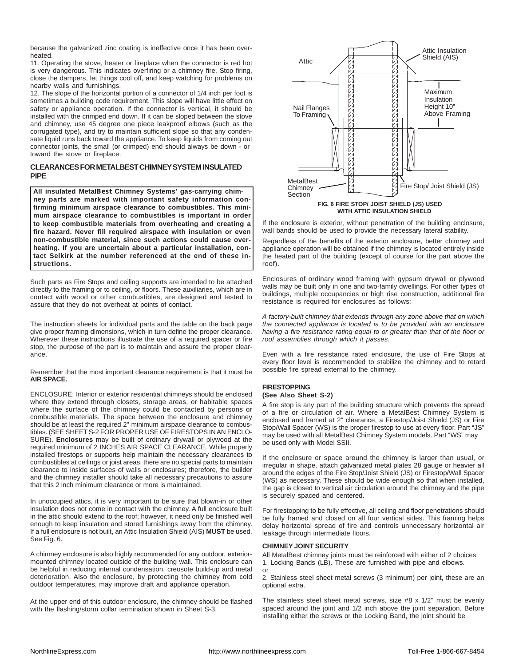because the galvanized zinc coating is ineffective once it has been overheated.

11. Operating the stove, heater or fireplace when the connector is red hot is very dangerous. This indicates overfiring or a chimney fire. Stop firing, close the dampers, let things cool off, and keep watching for problems on nearby walls and furnishings.

12. The slope of the horizontal portion of a connector of 1/4 inch per foot is sometimes a building code requirement. This slope will have little effect on safety or appliance operation. If the connector is vertical, it should be installed with the crimped end down. If it can be sloped between the stove and chimney, use 45 degree one piece leakproof elbows (such as the corrugated type), and try to maintain sufficient slope so that any condensate liquid runs back toward the appliance. To keep liquids from coming out connector joints, the small (or crimped) end should always be down - or toward the stove or fireplace.

## **CLEARANCES FOR METALBEST CHIMNEY SYSTEM INSULATED PIPE**

**All insulated MetalBest Chimney Systems' gas-carrying chimney parts are marked with important safety information confirming minimum airspace clearance to combustibles. This minimum airspace clearance to combustibles is important in order to keep combustible materials from overheating and creating a fire hazard. Never fill required airspace with insulation or even non-combustible material, since such actions could cause overheating. If you are uncertain about a particular installation, contact Selkirk at the number referenced at the end of these instructions.**

Such parts as Fire Stops and ceiling supports are intended to be attached directly to the framing or to ceiling, or floors. These auxiliaries, which are in contact with wood or other combustibles, are designed and tested to assure that they do not overheat at points of contact.

The instruction sheets for individual parts and the table on the back page give proper framing dimensions, which in turn define the proper clearance. Wherever these instructions illustrate the use of a required spacer or fire stop, the purpose of the part is to maintain and assure the proper clearance.

Remember that the most important clearance requirement is that it must be **AIR SPACE.**

ENCLOSURE: Interior or exterior residential chimneys should be enclosed where they extend through closets, storage areas, or habitable spaces where the surface of the chimney could be contacted by persons or combustible materials. The space between the enclosure and chimney should be at least the required 2" minimum airspace clearance to combustibles. (SEE SHEET S-2 FOR PROPER USE OF FIRESTOPS IN AN ENCLO-SURE). **Enclosures** may be built of ordinary drywall or plywood at the required minimum of 2 INCHES AIR SPACE CLEARANCE. While properly installed firestops or supports help maintain the necessary clearances to combustibles at ceilings or joist areas, there are no special parts to maintain clearance to inside surfaces of walls or enclosures; therefore, the builder and the chimney installer should take all necessary precautions to assure that this 2 inch minimum clearance or more is maintained.

In unoccupied attics, it is very important to be sure that blown-in or other insulation does not come in contact with the chimney. A full enclosure built in the attic should extend to the roof; however, it need only be finished well enough to keep insulation and stored furnishings away from the chimney. If a full enclosure is not built, an Attic Insulation Shield (AIS) **MUST** be used. See Fig. 6.

A chimney enclosure is also highly recommended for any outdoor, exteriormounted chimney located outside of the building wall. This enclosure can be helpful in reducing internal condensation, creosote build-up and metal deterioration. Also the enclosure, by protecting the chimney from cold outdoor temperatures, may improve draft and appliance operation.

At the upper end of this outdoor enclosure, the chimney should be flashed with the flashing/storm collar termination shown in Sheet S-3.



If the enclosure is exterior, without penetration of the building enclosure, wall bands should be used to provide the necessary lateral stability.

Regardless of the benefits of the exterior enclosure, better chimney and appliance operation will be obtained if the chimney is located entirely inside the heated part of the building (except of course for the part above the roof).

Enclosures of ordinary wood framing with gypsum drywall or plywood walls may be built only in one and two-family dwellings. For other types of buildings, multiple occupancies or high rise construction, additional fire resistance is required for enclosures as follows:

*A factory-built chimney that extends through any zone above that on which the connected appliance is located is to be provided with an enclosure having a fire resistance rating equal to or greater than that of the floor or roof assemblies through which it passes.*

Even with a fire resistance rated enclosure, the use of Fire Stops at every floor level is recommended to stabilize the chimney and to retard possible fire spread external to the chimney.

#### **FIRESTOPPING (See Also Sheet S-2)**

A fire stop is any part of the building structure which prevents the spread of a fire or circulation of air. Where a MetalBest Chimney System is enclosed and framed at 2" clearance, a Firestop/Joist Shield (JS) or Fire Stop/Wall Spacer (WS) is the proper firestop to use at every floor. Part "JS" may be used with all MetalBest Chimney System models. Part "WS" may be used only with Model SSII.

If the enclosure or space around the chimney is larger than usual, or irregular in shape, attach galvanized metal plates 28 gauge or heavier all around the edges of the Fire Stop/Joist Shield (JS) or Firestop/Wall Spacer (WS) as necessary. These should be wide enough so that when installed, the gap is closed to vertical air circulation around the chimney and the pipe is securely spaced and centered.

For firestopping to be fully effective, all ceiling and floor penetrations should be fully framed and closed on all four vertical sides. This framing helps delay horizontal spread of fire and controls unnecessary horizontal air leakage through intermediate floors.

#### **CHIMNEY JOINT SECURITY**

All MetalBest chimney joints must be reinforced with either of 2 choices: 1. Locking Bands (LB). These are furnished with pipe and elbows. or

2. Stainless steel sheet metal screws (3 minimum) per joint, these are an optional extra.

The stainless steel sheet metal screws, size #8 x 1/2" must be evenly spaced around the joint and 1/2 inch above the joint separation. Before installing either the screws or the Locking Band, the joint should be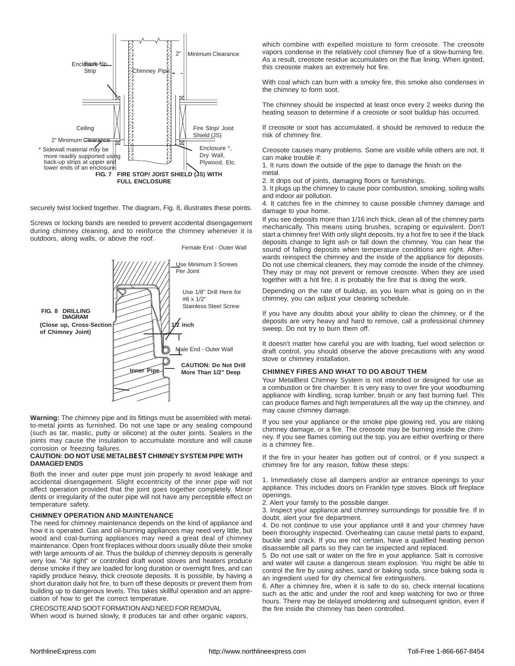

securely twist locked together. The diagram, Fig. 8, illustrates these points.

Screws or locking bands are needed to prevent accidental disengagement during chimney cleaning, and to reinforce the chimney whenever it is outdoors, along walls, or above the roof.



Female End - Outer Wall

**Warning:** The chimney pipe and its fittings must be assembled with metalto-metal joints as furnished. Do not use tape or any sealing compound (such as tar, mastic, putty or silicone) at the outer joints. Sealers in the joints may cause the insulation to accumulate moisture and will cause corrosion or freezing failures.

#### **CAUTION: DO NOT USE METALBEST CHIMNEY SYSTEM PIPE WITH DAMAGED ENDS**

Both the inner and outer pipe must join properly to avoid leakage and accidental disengagement. Slight eccentricity of the inner pipe will not affect operation provided that the joint goes together completely. Minor dents or irregularity of the outer pipe will not have any perceptible effect on temperature safety.

#### **CHIMNEY OPERATION AND MAINTENANCE**

The need for chimney maintenance depends on the kind of appliance and how it is operated. Gas and oil-burning appliances may need very little, but wood and coal-burning appliances may need a great deal of chimney maintenance. Open front fireplaces without doors usually dilute their smoke with large amounts of air. Thus the buildup of chimney deposits is generally very low. "Air tight" or controlled draft wood stoves and heaters produce dense smoke if they are loaded for long duration or overnight fires, and can rapidly produce heavy, thick creosote deposits. It is possible, by having a short duration daily hot fire, to burn off these deposits or prevent them from building up to dangerous levels. This takes skillful operation and an appreciation of how to get the correct temperature.

CREOSOTE AND SOOT FORMATION AND NEED FOR REMOVAL

When wood is burned slowly, it produces tar and other organic vapors,

which combine with expelled moisture to form creosote. The creosote vapors condense in the relatively cool chimney flue of a slow-burning fire. As a result, creosote residue accumulates on the flue lining. When ignited, this creosote makes an extremely hot fire.

With coal which can burn with a smoky fire, this smoke also condenses in the chimney to form soot.

The chimney should be inspected at least once every 2 weeks during the heating season to determine if a creosote or soot buildup has occurred.

If creosote or soot has accumulated, it should be removed to reduce the risk of chimney fire.

Creosote causes many problems. Some are visible while others are not. It can make trouble if:

1. It runs down the outside of the pipe to damage the finish on the metal.

2. It drips out of joints, damaging floors or furnishings.

3. It plugs up the chimney to cause poor combustion, smoking, soiling walls and indoor air pollution.

4. It catches fire in the chimney to cause possible chimney damage and damage to your home.

If you see deposits more than 1/16 inch thick, clean all of the chimney parts mechanically. This means using brushes, scraping or equivalent. Don't start a chimney fire! With only slight deposits, try a hot fire to see if the black deposits change to light ash or fall down the chimney. You can hear the sound of falling deposits when temperature conditions are right. Afterwards reinspect the chimney and the inside of the appliance for deposits. Do not use chemical cleaners, they may corrode the inside of the chimney. They may or may not prevent or remove creosote. When they are used together with a hot fire, it is probably the fire that is doing the work.

Depending on the rate of buildup, as you learn what is going on in the chimney, you can adjust your cleaning schedule.

If you have any doubts about your ability to clean the chimney, or if the deposits are very heavy and hard to remove, call a professional chimney sweep. Do not try to burn them off.

It doesn't matter how careful you are with loading, fuel wood selection or draft control, you should observe the above precautions with any wood stove or chimney installation.

#### **CHIMNEY FIRES AND WHAT TO DO ABOUT THEM**

Your MetalBest Chimney System is not intended or designed for use as a combustion or fire chamber. It is very easy to over fire your woodburning appliance with kindling, scrap lumber, brush or any fast burning fuel. This can produce flames and high temperatures all the way up the chimney, and may cause chimney damage.

If you see your appliance or the smoke pipe glowing red, you are risking chimney damage, or a fire. The creosote may be burning inside the chimney. If you see flames coming out the top, you are either overfiring or there is a chimney fire.

If the fire in your heater has gotten out of control, or if you suspect a chimney fire for any reason, follow these steps:

1. Immediately close all dampers and/or air entrance openings to your appliance. This includes doors on Franklin type stoves. Block off fireplace openings.

2. Alert your family to the possible danger.

3. Inspect your appliance and chimney surroundings for possible fire. If in doubt, alert your fire department.

4. Do not continue to use your appliance until it and your chimney have been thoroughly inspected. Overheating can cause metal parts to expand, buckle and crack. If you are not certain, have a qualified heating person disassemble all parts so they can be inspected and replaced.

5. Do not use salt or water on the fire in your appliance. Salt is corrosive and water will cause a dangerous steam explosion. You might be able to control the fire by using ashes, sand or baking soda, since baking soda is an ingredient used for dry chemical fire extinguishers.

6. After a chimney fire, when it is safe to do so, check internal locations such as the attic and under the roof and keep watching for two or three hours. There may be delayed smoldering and subsequent ignition, even if the fire inside the chimney has been controlled.